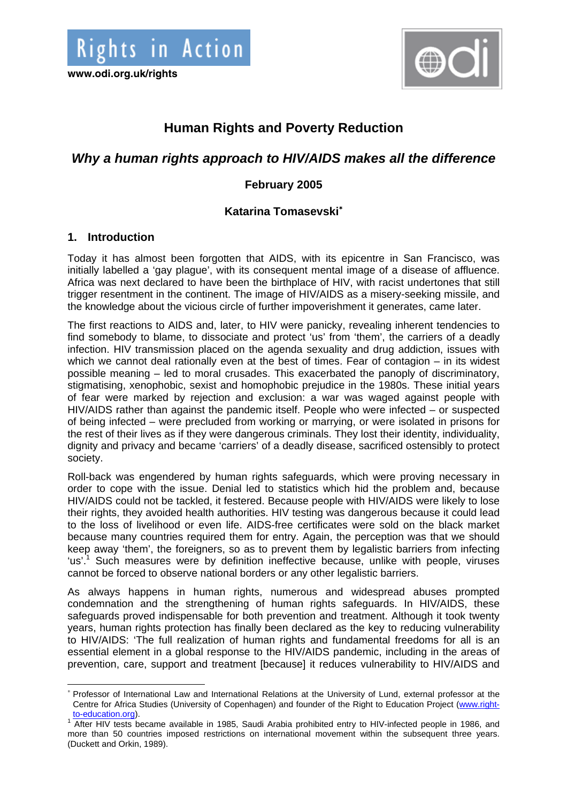

# **Human Rights and Poverty Reduction**

## *Why a human rights approach to HIV/AIDS makes all the difference*

## **February 2005**

## **Katarina Tomasevski**<sup>∗</sup>

#### **1. Introduction**

Today it has almost been forgotten that AIDS, with its epicentre in San Francisco, was initially labelled a 'gay plague', with its consequent mental image of a disease of affluence. Africa was next declared to have been the birthplace of HIV, with racist undertones that still trigger resentment in the continent. The image of HIV/AIDS as a misery-seeking missile, and the knowledge about the vicious circle of further impoverishment it generates, came later.

The first reactions to AIDS and, later, to HIV were panicky, revealing inherent tendencies to find somebody to blame, to dissociate and protect 'us' from 'them', the carriers of a deadly infection. HIV transmission placed on the agenda sexuality and drug addiction, issues with which we cannot deal rationally even at the best of times. Fear of contagion – in its widest possible meaning – led to moral crusades. This exacerbated the panoply of discriminatory, stigmatising, xenophobic, sexist and homophobic prejudice in the 1980s. These initial years of fear were marked by rejection and exclusion: a war was waged against people with HIV/AIDS rather than against the pandemic itself. People who were infected – or suspected of being infected – were precluded from working or marrying, or were isolated in prisons for the rest of their lives as if they were dangerous criminals. They lost their identity, individuality, dignity and privacy and became 'carriers' of a deadly disease, sacrificed ostensibly to protect society.

Roll-back was engendered by human rights safeguards, which were proving necessary in order to cope with the issue. Denial led to statistics which hid the problem and, because HIV/AIDS could not be tackled, it festered. Because people with HIV/AIDS were likely to lose their rights, they avoided health authorities. HIV testing was dangerous because it could lead to the loss of livelihood or even life. AIDS-free certificates were sold on the black market because many countries required them for entry. Again, the perception was that we should keep away 'them', the foreigners, so as to prevent them by legalistic barriers from infecting 'us'.<sup>1</sup> Such measures were by definition ineffective because, unlike with people, viruses cannot be forced to observe national borders or any other legalistic barriers.

As always happens in human rights, numerous and widespread abuses prompted condemnation and the strengthening of human rights safeguards. In HIV/AIDS, these safeguards proved indispensable for both prevention and treatment. Although it took twenty years, human rights protection has finally been declared as the key to reducing vulnerability to HIV/AIDS: 'The full realization of human rights and fundamental freedoms for all is an essential element in a global response to the HIV/AIDS pandemic, including in the areas of prevention, care, support and treatment [because] it reduces vulnerability to HIV/AIDS and

 $\overline{a}$ ∗ Professor of International Law and International Relations at the University of Lund, external professor at the Centre for Africa Studies (University of Copenhagen) and founder of the Right to Education Project (www.rightto-education.org).

<sup>&</sup>lt;sup>1</sup> After HIV tests became available in 1985, Saudi Arabia prohibited entry to HIV-infected people in 1986, and more than 50 countries imposed restrictions on international movement within the subsequent three years. (Duckett and Orkin, 1989).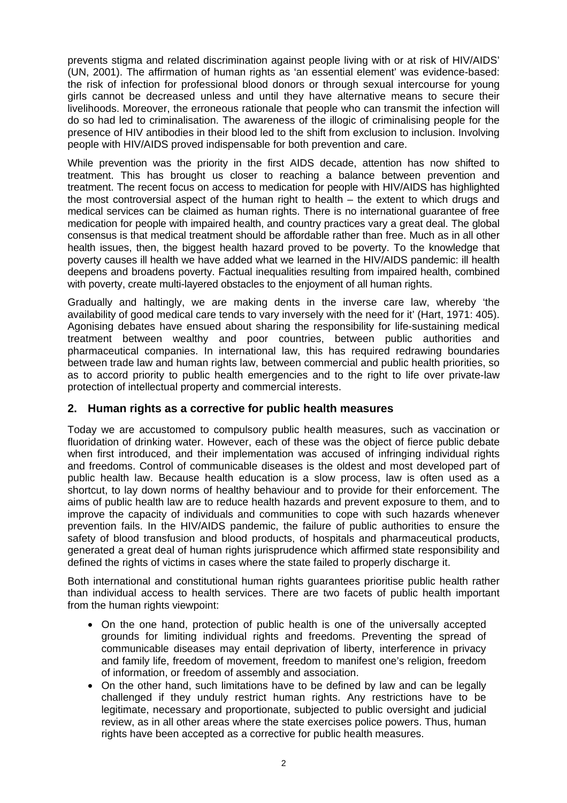prevents stigma and related discrimination against people living with or at risk of HIV/AIDS' (UN, 2001). The affirmation of human rights as 'an essential element' was evidence-based: the risk of infection for professional blood donors or through sexual intercourse for young girls cannot be decreased unless and until they have alternative means to secure their livelihoods. Moreover, the erroneous rationale that people who can transmit the infection will do so had led to criminalisation. The awareness of the illogic of criminalising people for the presence of HIV antibodies in their blood led to the shift from exclusion to inclusion. Involving people with HIV/AIDS proved indispensable for both prevention and care.

While prevention was the priority in the first AIDS decade, attention has now shifted to treatment. This has brought us closer to reaching a balance between prevention and treatment. The recent focus on access to medication for people with HIV/AIDS has highlighted the most controversial aspect of the human right to health – the extent to which drugs and medical services can be claimed as human rights. There is no international guarantee of free medication for people with impaired health, and country practices vary a great deal. The global consensus is that medical treatment should be affordable rather than free. Much as in all other health issues, then, the biggest health hazard proved to be poverty. To the knowledge that poverty causes ill health we have added what we learned in the HIV/AIDS pandemic: ill health deepens and broadens poverty. Factual inequalities resulting from impaired health, combined with poverty, create multi-layered obstacles to the enjoyment of all human rights.

Gradually and haltingly, we are making dents in the inverse care law, whereby 'the availability of good medical care tends to vary inversely with the need for it' (Hart, 1971: 405). Agonising debates have ensued about sharing the responsibility for life-sustaining medical treatment between wealthy and poor countries, between public authorities and pharmaceutical companies. In international law, this has required redrawing boundaries between trade law and human rights law, between commercial and public health priorities, so as to accord priority to public health emergencies and to the right to life over private-law protection of intellectual property and commercial interests.

#### **2. Human rights as a corrective for public health measures**

Today we are accustomed to compulsory public health measures, such as vaccination or fluoridation of drinking water. However, each of these was the object of fierce public debate when first introduced, and their implementation was accused of infringing individual rights and freedoms. Control of communicable diseases is the oldest and most developed part of public health law. Because health education is a slow process, law is often used as a shortcut, to lay down norms of healthy behaviour and to provide for their enforcement. The aims of public health law are to reduce health hazards and prevent exposure to them, and to improve the capacity of individuals and communities to cope with such hazards whenever prevention fails. In the HIV/AIDS pandemic, the failure of public authorities to ensure the safety of blood transfusion and blood products, of hospitals and pharmaceutical products, generated a great deal of human rights jurisprudence which affirmed state responsibility and defined the rights of victims in cases where the state failed to properly discharge it.

Both international and constitutional human rights guarantees prioritise public health rather than individual access to health services. There are two facets of public health important from the human rights viewpoint:

- On the one hand, protection of public health is one of the universally accepted grounds for limiting individual rights and freedoms. Preventing the spread of communicable diseases may entail deprivation of liberty, interference in privacy and family life, freedom of movement, freedom to manifest one's religion, freedom of information, or freedom of assembly and association.
- On the other hand, such limitations have to be defined by law and can be legally challenged if they unduly restrict human rights. Any restrictions have to be legitimate, necessary and proportionate, subjected to public oversight and judicial review, as in all other areas where the state exercises police powers. Thus, human rights have been accepted as a corrective for public health measures.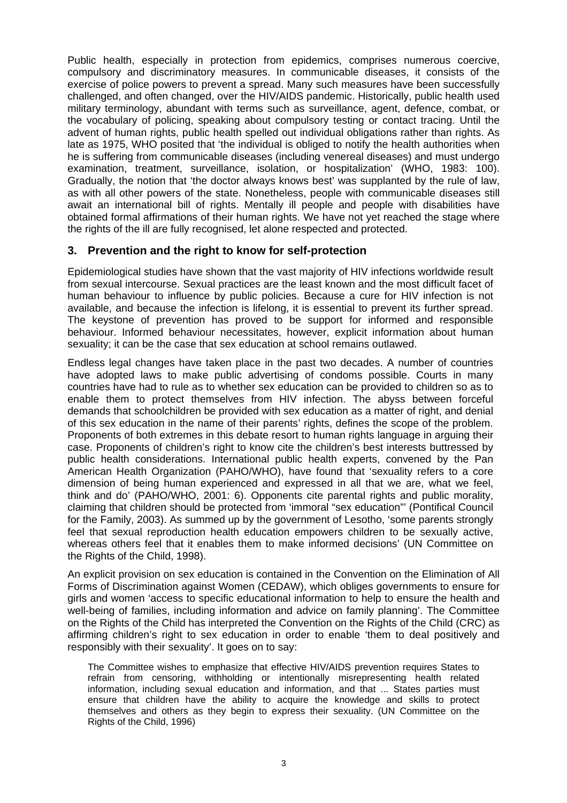Public health, especially in protection from epidemics, comprises numerous coercive, compulsory and discriminatory measures. In communicable diseases, it consists of the exercise of police powers to prevent a spread. Many such measures have been successfully challenged, and often changed, over the HIV/AIDS pandemic. Historically, public health used military terminology, abundant with terms such as surveillance, agent, defence, combat, or the vocabulary of policing, speaking about compulsory testing or contact tracing. Until the advent of human rights, public health spelled out individual obligations rather than rights. As late as 1975, WHO posited that 'the individual is obliged to notify the health authorities when he is suffering from communicable diseases (including venereal diseases) and must undergo examination, treatment, surveillance, isolation, or hospitalization' (WHO, 1983: 100). Gradually, the notion that 'the doctor always knows best' was supplanted by the rule of law, as with all other powers of the state. Nonetheless, people with communicable diseases still await an international bill of rights. Mentally ill people and people with disabilities have obtained formal affirmations of their human rights. We have not yet reached the stage where the rights of the ill are fully recognised, let alone respected and protected.

#### **3. Prevention and the right to know for self-protection**

Epidemiological studies have shown that the vast majority of HIV infections worldwide result from sexual intercourse. Sexual practices are the least known and the most difficult facet of human behaviour to influence by public policies. Because a cure for HIV infection is not available, and because the infection is lifelong, it is essential to prevent its further spread. The keystone of prevention has proved to be support for informed and responsible behaviour. Informed behaviour necessitates, however, explicit information about human sexuality; it can be the case that sex education at school remains outlawed.

Endless legal changes have taken place in the past two decades. A number of countries have adopted laws to make public advertising of condoms possible. Courts in many countries have had to rule as to whether sex education can be provided to children so as to enable them to protect themselves from HIV infection. The abyss between forceful demands that schoolchildren be provided with sex education as a matter of right, and denial of this sex education in the name of their parents' rights, defines the scope of the problem. Proponents of both extremes in this debate resort to human rights language in arguing their case. Proponents of children's right to know cite the children's best interests buttressed by public health considerations. International public health experts, convened by the Pan American Health Organization (PAHO/WHO), have found that 'sexuality refers to a core dimension of being human experienced and expressed in all that we are, what we feel, think and do' (PAHO/WHO, 2001: 6). Opponents cite parental rights and public morality, claiming that children should be protected from 'immoral "sex education"' (Pontifical Council for the Family, 2003). As summed up by the government of Lesotho, 'some parents strongly feel that sexual reproduction health education empowers children to be sexually active, whereas others feel that it enables them to make informed decisions' (UN Committee on the Rights of the Child, 1998).

An explicit provision on sex education is contained in the Convention on the Elimination of All Forms of Discrimination against Women (CEDAW), which obliges governments to ensure for girls and women 'access to specific educational information to help to ensure the health and well-being of families, including information and advice on family planning'. The Committee on the Rights of the Child has interpreted the Convention on the Rights of the Child (CRC) as affirming children's right to sex education in order to enable 'them to deal positively and responsibly with their sexuality'. It goes on to say:

The Committee wishes to emphasize that effective HIV/AIDS prevention requires States to refrain from censoring, withholding or intentionally misrepresenting health related information, including sexual education and information, and that ... States parties must ensure that children have the ability to acquire the knowledge and skills to protect themselves and others as they begin to express their sexuality. (UN Committee on the Rights of the Child, 1996)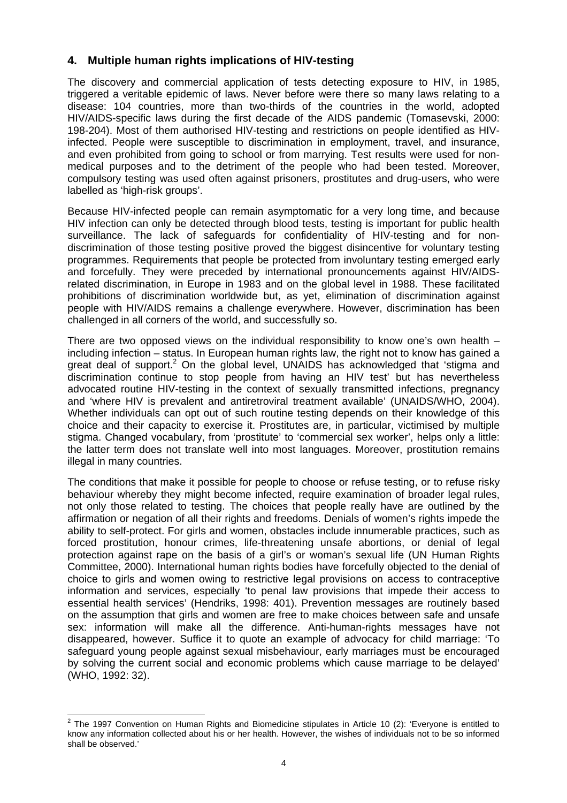#### **4. Multiple human rights implications of HIV-testing**

The discovery and commercial application of tests detecting exposure to HIV, in 1985, triggered a veritable epidemic of laws. Never before were there so many laws relating to a disease: 104 countries, more than two-thirds of the countries in the world, adopted HIV/AIDS-specific laws during the first decade of the AIDS pandemic (Tomasevski, 2000: 198-204). Most of them authorised HIV-testing and restrictions on people identified as HIVinfected. People were susceptible to discrimination in employment, travel, and insurance, and even prohibited from going to school or from marrying. Test results were used for nonmedical purposes and to the detriment of the people who had been tested. Moreover, compulsory testing was used often against prisoners, prostitutes and drug-users, who were labelled as 'high-risk groups'.

Because HIV-infected people can remain asymptomatic for a very long time, and because HIV infection can only be detected through blood tests, testing is important for public health surveillance. The lack of safeguards for confidentiality of HIV-testing and for nondiscrimination of those testing positive proved the biggest disincentive for voluntary testing programmes. Requirements that people be protected from involuntary testing emerged early and forcefully. They were preceded by international pronouncements against HIV/AIDSrelated discrimination, in Europe in 1983 and on the global level in 1988. These facilitated prohibitions of discrimination worldwide but, as yet, elimination of discrimination against people with HIV/AIDS remains a challenge everywhere. However, discrimination has been challenged in all corners of the world, and successfully so.

There are two opposed views on the individual responsibility to know one's own health  $$ including infection – status. In European human rights law, the right not to know has gained a great deal of support.<sup>2</sup> On the global level, UNAIDS has acknowledged that 'stigma and discrimination continue to stop people from having an HIV test' but has nevertheless advocated routine HIV-testing in the context of sexually transmitted infections, pregnancy and 'where HIV is prevalent and antiretroviral treatment available' (UNAIDS/WHO, 2004). Whether individuals can opt out of such routine testing depends on their knowledge of this choice and their capacity to exercise it. Prostitutes are, in particular, victimised by multiple stigma. Changed vocabulary, from 'prostitute' to 'commercial sex worker', helps only a little: the latter term does not translate well into most languages. Moreover, prostitution remains illegal in many countries.

The conditions that make it possible for people to choose or refuse testing, or to refuse risky behaviour whereby they might become infected, require examination of broader legal rules, not only those related to testing. The choices that people really have are outlined by the affirmation or negation of all their rights and freedoms. Denials of women's rights impede the ability to self-protect. For girls and women, obstacles include innumerable practices, such as forced prostitution, honour crimes, life-threatening unsafe abortions, or denial of legal protection against rape on the basis of a girl's or woman's sexual life (UN Human Rights Committee, 2000). International human rights bodies have forcefully objected to the denial of choice to girls and women owing to restrictive legal provisions on access to contraceptive information and services, especially 'to penal law provisions that impede their access to essential health services' (Hendriks, 1998: 401). Prevention messages are routinely based on the assumption that girls and women are free to make choices between safe and unsafe sex: information will make all the difference. Anti-human-rights messages have not disappeared, however. Suffice it to quote an example of advocacy for child marriage: 'To safeguard young people against sexual misbehaviour, early marriages must be encouraged by solving the current social and economic problems which cause marriage to be delayed' (WHO, 1992: 32).

 2 The 1997 Convention on Human Rights and Biomedicine stipulates in Article 10 (2): 'Everyone is entitled to know any information collected about his or her health. However, the wishes of individuals not to be so informed shall be observed.'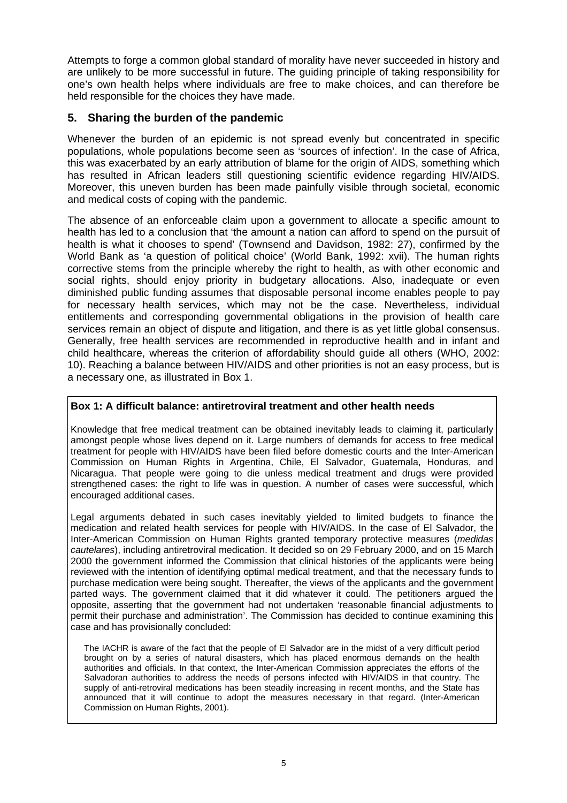Attempts to forge a common global standard of morality have never succeeded in history and are unlikely to be more successful in future. The guiding principle of taking responsibility for one's own health helps where individuals are free to make choices, and can therefore be held responsible for the choices they have made.

#### **5. Sharing the burden of the pandemic**

Whenever the burden of an epidemic is not spread evenly but concentrated in specific populations, whole populations become seen as 'sources of infection'. In the case of Africa, this was exacerbated by an early attribution of blame for the origin of AIDS, something which has resulted in African leaders still questioning scientific evidence regarding HIV/AIDS. Moreover, this uneven burden has been made painfully visible through societal, economic and medical costs of coping with the pandemic.

The absence of an enforceable claim upon a government to allocate a specific amount to health has led to a conclusion that 'the amount a nation can afford to spend on the pursuit of health is what it chooses to spend' (Townsend and Davidson, 1982: 27), confirmed by the World Bank as 'a question of political choice' (World Bank, 1992: xvii). The human rights corrective stems from the principle whereby the right to health, as with other economic and social rights, should enjoy priority in budgetary allocations. Also, inadequate or even diminished public funding assumes that disposable personal income enables people to pay for necessary health services, which may not be the case. Nevertheless, individual entitlements and corresponding governmental obligations in the provision of health care services remain an object of dispute and litigation, and there is as yet little global consensus. Generally, free health services are recommended in reproductive health and in infant and child healthcare, whereas the criterion of affordability should guide all others (WHO, 2002: 10). Reaching a balance between HIV/AIDS and other priorities is not an easy process, but is a necessary one, as illustrated in Box 1.

#### **Box 1: A difficult balance: antiretroviral treatment and other health needs**

Knowledge that free medical treatment can be obtained inevitably leads to claiming it, particularly amongst people whose lives depend on it. Large numbers of demands for access to free medical treatment for people with HIV/AIDS have been filed before domestic courts and the Inter-American Commission on Human Rights in Argentina, Chile, El Salvador, Guatemala, Honduras, and Nicaragua. That people were going to die unless medical treatment and drugs were provided strengthened cases: the right to life was in question. A number of cases were successful, which encouraged additional cases.

Legal arguments debated in such cases inevitably yielded to limited budgets to finance the medication and related health services for people with HIV/AIDS. In the case of El Salvador, the Inter-American Commission on Human Rights granted temporary protective measures (*medidas cautelares*), including antiretroviral medication. It decided so on 29 February 2000, and on 15 March 2000 the government informed the Commission that clinical histories of the applicants were being reviewed with the intention of identifying optimal medical treatment, and that the necessary funds to purchase medication were being sought. Thereafter, the views of the applicants and the government parted ways. The government claimed that it did whatever it could. The petitioners argued the opposite, asserting that the government had not undertaken 'reasonable financial adjustments to permit their purchase and administration'. The Commission has decided to continue examining this case and has provisionally concluded:

The IACHR is aware of the fact that the people of El Salvador are in the midst of a very difficult period brought on by a series of natural disasters, which has placed enormous demands on the health authorities and officials. In that context, the Inter-American Commission appreciates the efforts of the Salvadoran authorities to address the needs of persons infected with HIV/AIDS in that country. The supply of anti-retroviral medications has been steadily increasing in recent months, and the State has announced that it will continue to adopt the measures necessary in that regard. (Inter-American Commission on Human Rights, 2001).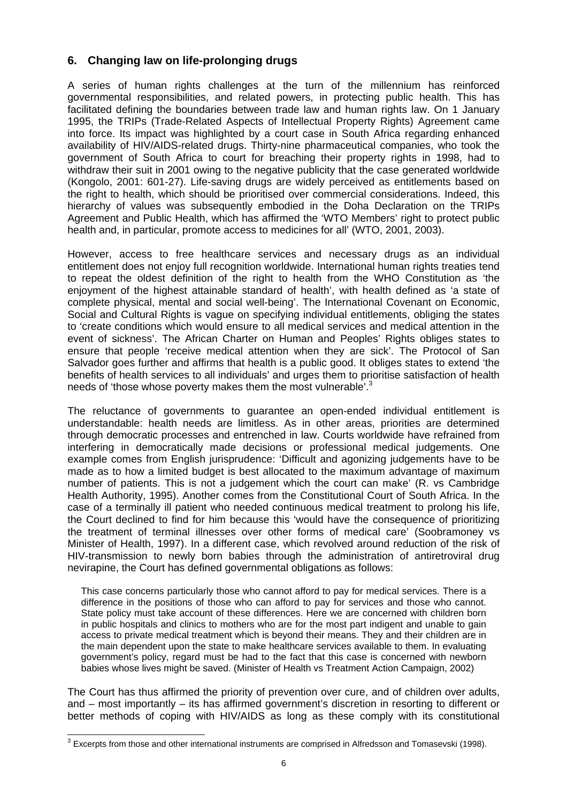## **6. Changing law on life-prolonging drugs**

A series of human rights challenges at the turn of the millennium has reinforced governmental responsibilities, and related powers, in protecting public health. This has facilitated defining the boundaries between trade law and human rights law. On 1 January 1995, the TRIPs (Trade-Related Aspects of Intellectual Property Rights) Agreement came into force. Its impact was highlighted by a court case in South Africa regarding enhanced availability of HIV/AIDS-related drugs. Thirty-nine pharmaceutical companies, who took the government of South Africa to court for breaching their property rights in 1998, had to withdraw their suit in 2001 owing to the negative publicity that the case generated worldwide (Kongolo, 2001: 601-27). Life-saving drugs are widely perceived as entitlements based on the right to health, which should be prioritised over commercial considerations. Indeed, this hierarchy of values was subsequently embodied in the Doha Declaration on the TRIPs Agreement and Public Health, which has affirmed the 'WTO Members' right to protect public health and, in particular, promote access to medicines for all' (WTO, 2001, 2003).

However, access to free healthcare services and necessary drugs as an individual entitlement does not enjoy full recognition worldwide. International human rights treaties tend to repeat the oldest definition of the right to health from the WHO Constitution as 'the enjoyment of the highest attainable standard of health', with health defined as 'a state of complete physical, mental and social well-being'. The International Covenant on Economic, Social and Cultural Rights is vague on specifying individual entitlements, obliging the states to 'create conditions which would ensure to all medical services and medical attention in the event of sickness'. The African Charter on Human and Peoples' Rights obliges states to ensure that people 'receive medical attention when they are sick'. The Protocol of San Salvador goes further and affirms that health is a public good. It obliges states to extend 'the benefits of health services to all individuals' and urges them to prioritise satisfaction of health needs of 'those whose poverty makes them the most vulnerable'. $3$ 

The reluctance of governments to guarantee an open-ended individual entitlement is understandable: health needs are limitless. As in other areas, priorities are determined through democratic processes and entrenched in law. Courts worldwide have refrained from interfering in democratically made decisions or professional medical judgements. One example comes from English jurisprudence: 'Difficult and agonizing judgements have to be made as to how a limited budget is best allocated to the maximum advantage of maximum number of patients. This is not a judgement which the court can make' (R. vs Cambridge Health Authority, 1995). Another comes from the Constitutional Court of South Africa. In the case of a terminally ill patient who needed continuous medical treatment to prolong his life, the Court declined to find for him because this 'would have the consequence of prioritizing the treatment of terminal illnesses over other forms of medical care' (Soobramoney vs Minister of Health, 1997). In a different case, which revolved around reduction of the risk of HIV-transmission to newly born babies through the administration of antiretroviral drug nevirapine, the Court has defined governmental obligations as follows:

This case concerns particularly those who cannot afford to pay for medical services. There is a difference in the positions of those who can afford to pay for services and those who cannot. State policy must take account of these differences. Here we are concerned with children born in public hospitals and clinics to mothers who are for the most part indigent and unable to gain access to private medical treatment which is beyond their means. They and their children are in the main dependent upon the state to make healthcare services available to them. In evaluating government's policy, regard must be had to the fact that this case is concerned with newborn babies whose lives might be saved. (Minister of Health vs Treatment Action Campaign, 2002)

The Court has thus affirmed the priority of prevention over cure, and of children over adults, and – most importantly – its has affirmed government's discretion in resorting to different or better methods of coping with HIV/AIDS as long as these comply with its constitutional

l  $3$  Excerpts from those and other international instruments are comprised in Alfredsson and Tomasevski (1998).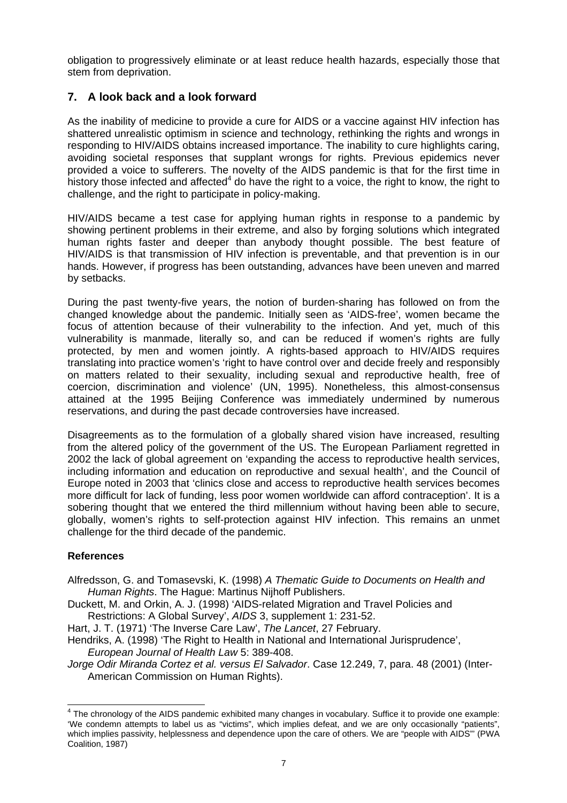obligation to progressively eliminate or at least reduce health hazards, especially those that stem from deprivation.

#### **7. A look back and a look forward**

As the inability of medicine to provide a cure for AIDS or a vaccine against HIV infection has shattered unrealistic optimism in science and technology, rethinking the rights and wrongs in responding to HIV/AIDS obtains increased importance. The inability to cure highlights caring, avoiding societal responses that supplant wrongs for rights. Previous epidemics never provided a voice to sufferers. The novelty of the AIDS pandemic is that for the first time in history those infected and affected<sup>4</sup> do have the right to a voice, the right to know, the right to challenge, and the right to participate in policy-making.

HIV/AIDS became a test case for applying human rights in response to a pandemic by showing pertinent problems in their extreme, and also by forging solutions which integrated human rights faster and deeper than anybody thought possible. The best feature of HIV/AIDS is that transmission of HIV infection is preventable, and that prevention is in our hands. However, if progress has been outstanding, advances have been uneven and marred by setbacks.

During the past twenty-five years, the notion of burden-sharing has followed on from the changed knowledge about the pandemic. Initially seen as 'AIDS-free', women became the focus of attention because of their vulnerability to the infection. And yet, much of this vulnerability is manmade, literally so, and can be reduced if women's rights are fully protected, by men and women jointly. A rights-based approach to HIV/AIDS requires translating into practice women's 'right to have control over and decide freely and responsibly on matters related to their sexuality, including sexual and reproductive health, free of coercion, discrimination and violence' (UN, 1995). Nonetheless, this almost-consensus attained at the 1995 Beijing Conference was immediately undermined by numerous reservations, and during the past decade controversies have increased.

Disagreements as to the formulation of a globally shared vision have increased, resulting from the altered policy of the government of the US. The European Parliament regretted in 2002 the lack of global agreement on 'expanding the access to reproductive health services, including information and education on reproductive and sexual health', and the Council of Europe noted in 2003 that 'clinics close and access to reproductive health services becomes more difficult for lack of funding, less poor women worldwide can afford contraception'. It is a sobering thought that we entered the third millennium without having been able to secure, globally, women's rights to self-protection against HIV infection. This remains an unmet challenge for the third decade of the pandemic.

#### **References**

- Alfredsson, G. and Tomasevski, K. (1998) *A Thematic Guide to Documents on Health and Human Rights*. The Hague: Martinus Nijhoff Publishers.
- Duckett, M. and Orkin, A. J. (1998) 'AIDS-related Migration and Travel Policies and Restrictions: A Global Survey', *AIDS* 3, supplement 1: 231-52.

Hart, J. T. (1971) 'The Inverse Care Law', *The Lancet*, 27 February.

Hendriks, A. (1998) 'The Right to Health in National and International Jurisprudence', *European Journal of Health Law* 5: 389-408.

*Jorge Odir Miranda Cortez et al. versus El Salvador*. Case 12.249, 7, para. 48 (2001) (Inter-American Commission on Human Rights).

 4 The chronology of the AIDS pandemic exhibited many changes in vocabulary. Suffice it to provide one example: 'We condemn attempts to label us as "victims", which implies defeat, and we are only occasionally "patients", which implies passivity, helplessness and dependence upon the care of others. We are "people with AIDS"' (PWA Coalition, 1987)